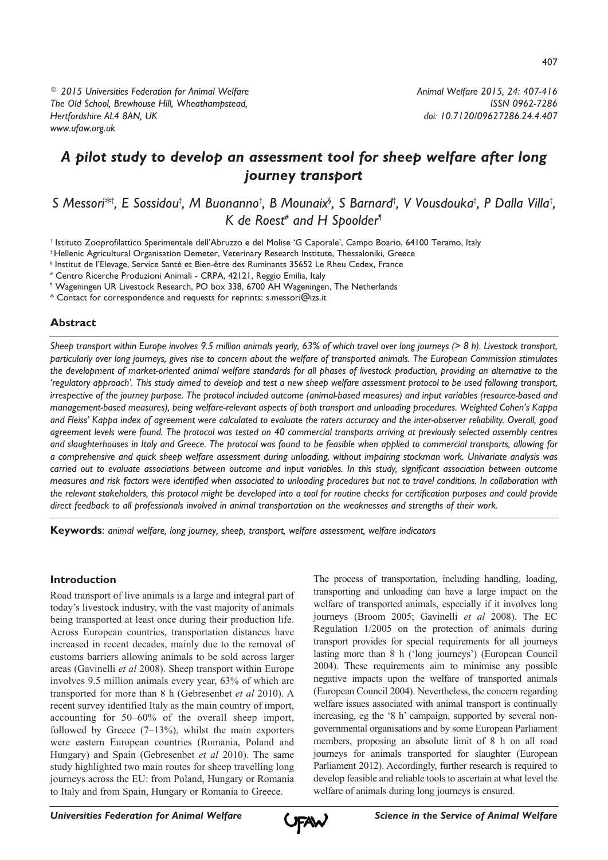*© 2015 Universities Federation for Animal Welfare The Old School, Brewhouse Hill, Wheathampstead, Hertfordshire AL4 8AN, UK www.ufaw.org.uk*

407

# *A pilot study to develop an assessment tool for sheep welfare after long journey transport*

#### S Messori\*†, E Sossidou‡, M Buonanno†, B Mounaix<sup>§</sup>, S Barnard†, V Vousdouka‡, P Dalla Villa† *, K de Roest # and H Spoolder ¶*

† Istituto Zooprofilattico Sperimentale dell'Abruzzo e del Molise 'G Caporale', Campo Boario, 64100 Teramo, Italy

‡ Hellenic Agricultural Organisation Demeter, Veterinary Research Institute, Thessaloniki, Greece

§ Institut de l'Elevage, Service Santé et Bien-être des Ruminants 35652 Le Rheu Cedex, France

# Centro Ricerche Produzioni Animali - CRPA, 42121, Reggio Emilia, Italy

¶ Wageningen UR Livestock Research, PO box 338, 6700 AH Wageningen, The Netherlands

\* Contact for correspondence and requests for reprints: s.messori@izs.it

#### **Abstract**

Sheep transport within Europe involves 9.5 million animals yearly, 63% of which travel over long journeys (> 8 h). Livestock transport, particularly over long journeys, gives rise to concern about the welfare of transported animals. The European Commission stimulates the development of market-oriented animal welfare standards for all phases of livestock production, providing an alternative to the 'regulatory approach'. This study aimed to develop and test a new sheep welfare assessment protocol to be used following transport, irrespective of the journey purpose. The protocol included outcome (animal-based measures) and input variables (resource-based and *management-based measures), being welfare-relevant aspects of both transport and unloading procedures. Weighted Cohen's Kappa* and Fleiss' Kappa index of agreement were calculated to evaluate the raters accuracy and the inter-observer reliability. Overall, good agreement levels were found. The protocol was tested on 40 commercial transports arriving at previously selected assembly centres and slaughterhouses in Italy and Greece. The protocol was found to be feasible when applied to commercial transports, allowing for a comprehensive and quick sheep welfare assessment during unloading, without impairing stockman work. Univariate analysis was carried out to evaluate associations between outcome and input variables. In this study, significant association between outcome measures and risk factors were identified when associated to unloading procedures but not to travel conditions. In collaboration with the relevant stakeholders, this protocol might be developed into a tool for routine checks for certification purposes and could provide direct feedback to all professionals involved in animal transportation on the weaknesses and strengths of their work.

**Keywords**: *animal welfare, long journey, sheep, transport, welfare assessment, welfare indicators*

### **Introduction**

Road transport of live animals is a large and integral part of today's livestock industry, with the vast majority of animals being transported at least once during their production life. Across European countries, transportation distances have increased in recent decades, mainly due to the removal of customs barriers allowing animals to be sold across larger areas (Gavinelli *et al* 2008). Sheep transport within Europe involves 9.5 million animals every year, 63% of which are transported for more than 8 h (Gebresenbet *et al* 2010). A recent survey identified Italy as the main country of import, accounting for 50–60% of the overall sheep import, followed by Greece  $(7-13\%)$ , whilst the main exporters were eastern European countries (Romania, Poland and Hungary) and Spain (Gebresenbet *et al* 2010). The same study highlighted two main routes for sheep travelling long journeys across the EU: from Poland, Hungary or Romania to Italy and from Spain, Hungary or Romania to Greece.

The process of transportation, including handling, loading, transporting and unloading can have a large impact on the welfare of transported animals, especially if it involves long journeys (Broom 2005; Gavinelli *et al* 2008). The EC Regulation 1/2005 on the protection of animals during transport provides for special requirements for all journeys lasting more than 8 h ('long journeys') (European Council 2004). These requirements aim to minimise any possible negative impacts upon the welfare of transported animals (European Council 2004). Nevertheless, the concern regarding welfare issues associated with animal transport is continually increasing, eg the '8 h' campaign, supported by several nongovernmental organisations and by some European Parliament members, proposing an absolute limit of 8 h on all road journeys for animals transported for slaughter (European Parliament 2012). Accordingly, further research is required to develop feasible and reliable tools to ascertain at what level the welfare of animals during long journeys is ensured.

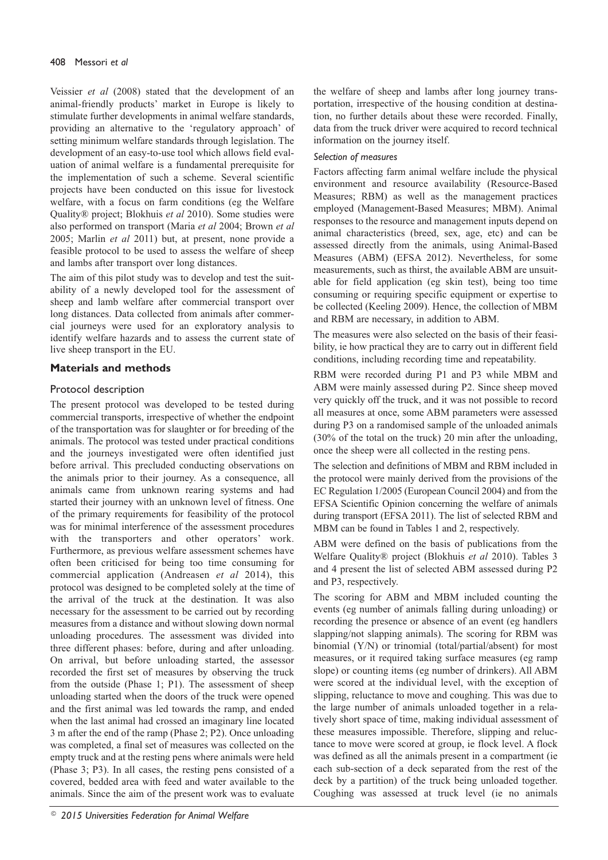Veissier *et al* (2008) stated that the development of an animal-friendly products' market in Europe is likely to stimulate further developments in animal welfare standards, providing an alternative to the 'regulatory approach' of setting minimum welfare standards through legislation. The development of an easy-to-use tool which allows field evaluation of animal welfare is a fundamental prerequisite for the implementation of such a scheme. Several scientific projects have been conducted on this issue for livestock welfare, with a focus on farm conditions (eg the Welfare Quality® project; Blokhuis *et al* 2010). Some studies were also performed on transport (Maria *et al* 2004; Brown *et al* 2005; Marlin *et al* 2011) but, at present, none provide a feasible protocol to be used to assess the welfare of sheep and lambs after transport over long distances.

The aim of this pilot study was to develop and test the suitability of a newly developed tool for the assessment of sheep and lamb welfare after commercial transport over long distances. Data collected from animals after commercial journeys were used for an exploratory analysis to identify welfare hazards and to assess the current state of live sheep transport in the EU.

# **Materials and methods**

# Protocol description

The present protocol was developed to be tested during commercial transports, irrespective of whether the endpoint of the transportation was for slaughter or for breeding of the animals. The protocol was tested under practical conditions and the journeys investigated were often identified just before arrival. This precluded conducting observations on the animals prior to their journey. As a consequence, all animals came from unknown rearing systems and had started their journey with an unknown level of fitness. One of the primary requirements for feasibility of the protocol was for minimal interference of the assessment procedures with the transporters and other operators' work. Furthermore, as previous welfare assessment schemes have often been criticised for being too time consuming for commercial application (Andreasen *et al* 2014), this protocol was designed to be completed solely at the time of the arrival of the truck at the destination. It was also necessary for the assessment to be carried out by recording measures from a distance and without slowing down normal unloading procedures. The assessment was divided into three different phases: before, during and after unloading. On arrival, but before unloading started, the assessor recorded the first set of measures by observing the truck from the outside (Phase 1; P1). The assessment of sheep unloading started when the doors of the truck were opened and the first animal was led towards the ramp, and ended when the last animal had crossed an imaginary line located 3 m after the end of the ramp (Phase 2; P2). Once unloading was completed, a final set of measures was collected on the empty truck and at the resting pens where animals were held (Phase 3; P3). In all cases, the resting pens consisted of a covered, bedded area with feed and water available to the animals. Since the aim of the present work was to evaluate

the welfare of sheep and lambs after long journey trans-

# *Selection of measures*

Factors affecting farm animal welfare include the physical environment and resource availability (Resource-Based Measures; RBM) as well as the management practices employed (Management-Based Measures; MBM). Animal responses to the resource and management inputs depend on animal characteristics (breed, sex, age, etc) and can be assessed directly from the animals, using Animal-Based Measures (ABM) (EFSA 2012). Nevertheless, for some measurements, such as thirst, the available ABM are unsuitable for field application (eg skin test), being too time consuming or requiring specific equipment or expertise to be collected (Keeling 2009). Hence, the collection of MBM and RBM are necessary, in addition to ABM.

The measures were also selected on the basis of their feasibility, ie how practical they are to carry out in different field conditions, including recording time and repeatability.

RBM were recorded during P1 and P3 while MBM and ABM were mainly assessed during P2. Since sheep moved very quickly off the truck, and it was not possible to record all measures at once, some ABM parameters were assessed during P3 on a randomised sample of the unloaded animals (30% of the total on the truck) 20 min after the unloading, once the sheep were all collected in the resting pens.

The selection and definitions of MBM and RBM included in the protocol were mainly derived from the provisions of the EC Regulation 1/2005 (European Council 2004) and from the EFSA Scientific Opinion concerning the welfare of animals during transport (EFSA 2011). The list of selected RBM and MBM can be found in Tables 1 and 2, respectively.

ABM were defined on the basis of publications from the Welfare Quality® project (Blokhuis *et al* 2010). Tables 3 and 4 present the list of selected ABM assessed during P2 and P3, respectively.

The scoring for ABM and MBM included counting the events (eg number of animals falling during unloading) or recording the presence or absence of an event (eg handlers slapping/not slapping animals). The scoring for RBM was binomial (Y/N) or trinomial (total/partial/absent) for most measures, or it required taking surface measures (eg ramp slope) or counting items (eg number of drinkers). All ABM were scored at the individual level, with the exception of slipping, reluctance to move and coughing. This was due to the large number of animals unloaded together in a relatively short space of time, making individual assessment of these measures impossible. Therefore, slipping and reluctance to move were scored at group, ie flock level. A flock was defined as all the animals present in a compartment (ie each sub-section of a deck separated from the rest of the deck by a partition) of the truck being unloaded together. Coughing was assessed at truck level (ie no animals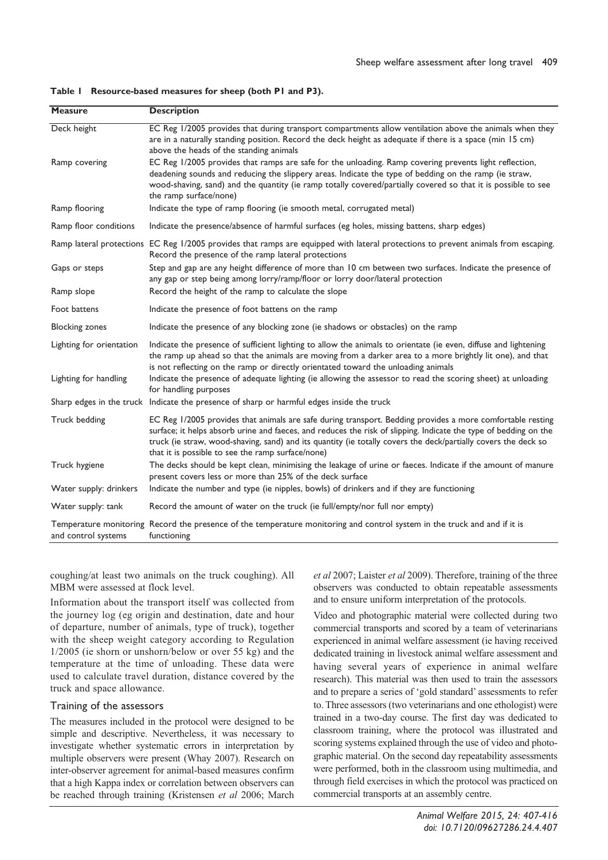| <b>Measure</b>           | <b>Description</b>                                                                                                                                                                                                                                                                                                                                                                                    |
|--------------------------|-------------------------------------------------------------------------------------------------------------------------------------------------------------------------------------------------------------------------------------------------------------------------------------------------------------------------------------------------------------------------------------------------------|
| Deck height              | EC Reg 1/2005 provides that during transport compartments allow ventilation above the animals when they<br>are in a naturally standing position. Record the deck height as adequate if there is a space (min 15 cm)<br>above the heads of the standing animals                                                                                                                                        |
| Ramp covering            | EC Reg 1/2005 provides that ramps are safe for the unloading. Ramp covering prevents light reflection,<br>deadening sounds and reducing the slippery areas. Indicate the type of bedding on the ramp (ie straw,<br>wood-shaving, sand) and the quantity (ie ramp totally covered/partially covered so that it is possible to see<br>the ramp surface/none)                                            |
| Ramp flooring            | Indicate the type of ramp flooring (ie smooth metal, corrugated metal)                                                                                                                                                                                                                                                                                                                                |
| Ramp floor conditions    | Indicate the presence/absence of harmful surfaces (eg holes, missing battens, sharp edges)                                                                                                                                                                                                                                                                                                            |
|                          | Ramp lateral protections EC Reg 1/2005 provides that ramps are equipped with lateral protections to prevent animals from escaping.<br>Record the presence of the ramp lateral protections                                                                                                                                                                                                             |
| Gaps or steps            | Step and gap are any height difference of more than 10 cm between two surfaces. Indicate the presence of<br>any gap or step being among lorry/ramp/floor or lorry door/lateral protection                                                                                                                                                                                                             |
| Ramp slope               | Record the height of the ramp to calculate the slope                                                                                                                                                                                                                                                                                                                                                  |
| Foot battens             | Indicate the presence of foot battens on the ramp                                                                                                                                                                                                                                                                                                                                                     |
| <b>Blocking zones</b>    | Indicate the presence of any blocking zone (ie shadows or obstacles) on the ramp                                                                                                                                                                                                                                                                                                                      |
| Lighting for orientation | Indicate the presence of sufficient lighting to allow the animals to orientate (ie even, diffuse and lightening<br>the ramp up ahead so that the animals are moving from a darker area to a more brightly lit one), and that<br>is not reflecting on the ramp or directly orientated toward the unloading animals                                                                                     |
| Lighting for handling    | Indicate the presence of adequate lighting (ie allowing the assessor to read the scoring sheet) at unloading<br>for handling purposes                                                                                                                                                                                                                                                                 |
|                          | Sharp edges in the truck Indicate the presence of sharp or harmful edges inside the truck                                                                                                                                                                                                                                                                                                             |
| Truck bedding            | EC Reg 1/2005 provides that animals are safe during transport. Bedding provides a more comfortable resting<br>surface; it helps absorb urine and faeces, and reduces the risk of slipping. Indicate the type of bedding on the<br>truck (ie straw, wood-shaving, sand) and its quantity (ie totally covers the deck/partially covers the deck so<br>that it is possible to see the ramp surface/none) |
| Truck hygiene            | The decks should be kept clean, minimising the leakage of urine or faeces. Indicate if the amount of manure<br>present covers less or more than 25% of the deck surface                                                                                                                                                                                                                               |
| Water supply: drinkers   | Indicate the number and type (ie nipples, bowls) of drinkers and if they are functioning                                                                                                                                                                                                                                                                                                              |
| Water supply: tank       | Record the amount of water on the truck (ie full/empty/nor full nor empty)                                                                                                                                                                                                                                                                                                                            |
| and control systems      | Temperature monitoring Record the presence of the temperature monitoring and control system in the truck and and if it is<br>functioning                                                                                                                                                                                                                                                              |

**Table 1 Resource-based measures for sheep (both P1 and P3).**

coughing/at least two animals on the truck coughing). All MBM were assessed at flock level.

Information about the transport itself was collected from the journey log (eg origin and destination, date and hour of departure, number of animals, type of truck), together with the sheep weight category according to Regulation 1/2005 (ie shorn or unshorn/below or over 55 kg) and the temperature at the time of unloading. These data were used to calculate travel duration, distance covered by the truck and space allowance.

### Training of the assessors

The measures included in the protocol were designed to be simple and descriptive. Nevertheless, it was necessary to investigate whether systematic errors in interpretation by multiple observers were present (Whay 2007). Research on inter-observer agreement for animal-based measures confirm that a high Kappa index or correlation between observers can be reached through training (Kristensen *et al* 2006; March

*et al* 2007; Laister *et al* 2009). Therefore, training of the three observers was conducted to obtain repeatable assessments and to ensure uniform interpretation of the protocols.

Video and photographic material were collected during two commercial transports and scored by a team of veterinarians experienced in animal welfare assessment (ie having received dedicated training in livestock animal welfare assessment and having several years of experience in animal welfare research). This material was then used to train the assessors and to prepare a series of 'gold standard' assessments to refer to. Three assessors(two veterinarians and one ethologist) were trained in a two-day course. The first day was dedicated to classroom training, where the protocol was illustrated and scoring systems explained through the use of video and photographic material. On the second day repeatability assessments were performed, both in the classroom using multimedia, and through field exercises in which the protocol was practiced on commercial transports at an assembly centre.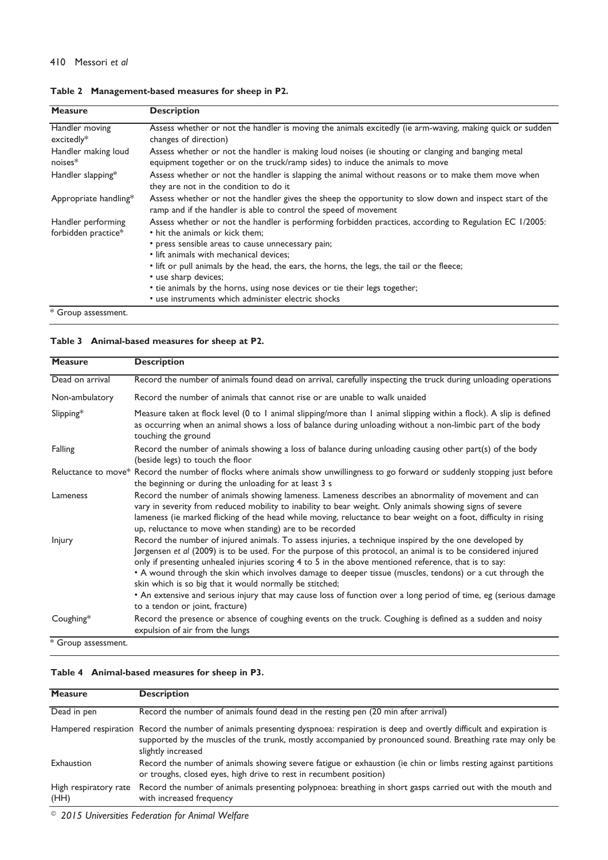# 410 Messori *et al*

|  | Table 2 Management-based measures for sheep in P2. |  |  |  |  |  |  |
|--|----------------------------------------------------|--|--|--|--|--|--|
|--|----------------------------------------------------|--|--|--|--|--|--|

| <b>Measure</b>                            | <b>Description</b>                                                                                                                                                                 |
|-------------------------------------------|------------------------------------------------------------------------------------------------------------------------------------------------------------------------------------|
| Handler moving<br>excitedly*              | Assess whether or not the handler is moving the animals excitedly (ie arm-waving, making quick or sudden<br>changes of direction)                                                  |
| Handler making loud<br>$noise*$           | Assess whether or not the handler is making loud noises (ie shouting or clanging and banging metal<br>equipment together or on the truck/ramp sides) to induce the animals to move |
| Handler slapping*                         | Assess whether or not the handler is slapping the animal without reasons or to make them move when<br>they are not in the condition to do it                                       |
| Appropriate handling*                     | Assess whether or not the handler gives the sheep the opportunity to slow down and inspect start of the<br>ramp and if the handler is able to control the speed of movement        |
| Handler performing<br>forbidden practice* | Assess whether or not the handler is performing forbidden practices, according to Regulation EC 1/2005:<br>• hit the animals or kick them:                                         |
|                                           | • press sensible areas to cause unnecessary pain;<br>• lift animals with mechanical devices:                                                                                       |
|                                           | • lift or pull animals by the head, the ears, the horns, the legs, the tail or the fleece;<br>• use sharp devices;                                                                 |
|                                           | • tie animals by the horns, using nose devices or tie their legs together;                                                                                                         |
|                                           | • use instruments which administer electric shocks                                                                                                                                 |
| * Group assessment.                       |                                                                                                                                                                                    |

**Table 3 Animal-based measures for sheep at P2.**

| <b>Measure</b>       | <b>Description</b>                                                                                                                                                                                                                                                                                                                                                                                                                                                                                                                                                                                                                                               |
|----------------------|------------------------------------------------------------------------------------------------------------------------------------------------------------------------------------------------------------------------------------------------------------------------------------------------------------------------------------------------------------------------------------------------------------------------------------------------------------------------------------------------------------------------------------------------------------------------------------------------------------------------------------------------------------------|
| Dead on arrival      | Record the number of animals found dead on arrival, carefully inspecting the truck during unloading operations                                                                                                                                                                                                                                                                                                                                                                                                                                                                                                                                                   |
| Non-ambulatory       | Record the number of animals that cannot rise or are unable to walk unaided                                                                                                                                                                                                                                                                                                                                                                                                                                                                                                                                                                                      |
| Slipping*            | Measure taken at flock level (0 to 1 animal slipping/more than 1 animal slipping within a flock). A slip is defined<br>as occurring when an animal shows a loss of balance during unloading without a non-limbic part of the body<br>touching the ground                                                                                                                                                                                                                                                                                                                                                                                                         |
| Falling              | Record the number of animals showing a loss of balance during unloading causing other part(s) of the body<br>(beside legs) to touch the floor                                                                                                                                                                                                                                                                                                                                                                                                                                                                                                                    |
|                      | Reluctance to move* Record the number of flocks where animals show unwillingness to go forward or suddenly stopping just before<br>the beginning or during the unloading for at least 3 s                                                                                                                                                                                                                                                                                                                                                                                                                                                                        |
| Lameness             | Record the number of animals showing lameness. Lameness describes an abnormality of movement and can<br>vary in severity from reduced mobility to inability to bear weight. Only animals showing signs of severe<br>lameness (ie marked flicking of the head while moving, reluctance to bear weight on a foot, difficulty in rising<br>up, reluctance to move when standing) are to be recorded                                                                                                                                                                                                                                                                 |
| <b>Injury</b>        | Record the number of injured animals. To assess injuries, a technique inspired by the one developed by<br>Jørgensen et al (2009) is to be used. For the purpose of this protocol, an animal is to be considered injured<br>only if presenting unhealed injuries scoring 4 to 5 in the above mentioned reference, that is to say:<br>• A wound through the skin which involves damage to deeper tissue (muscles, tendons) or a cut through the<br>skin which is so big that it would normally be stitched;<br>• An extensive and serious injury that may cause loss of function over a long period of time, eg (serious damage<br>to a tendon or joint, fracture) |
| Coughing*            | Record the presence or absence of coughing events on the truck. Coughing is defined as a sudden and noisy<br>expulsion of air from the lungs                                                                                                                                                                                                                                                                                                                                                                                                                                                                                                                     |
| $*$ Group assessment |                                                                                                                                                                                                                                                                                                                                                                                                                                                                                                                                                                                                                                                                  |

Group assessment.

| <b>Measure</b>                | <b>Description</b>                                                                                                                                                                                                                                                    |
|-------------------------------|-----------------------------------------------------------------------------------------------------------------------------------------------------------------------------------------------------------------------------------------------------------------------|
| Dead in pen                   | Record the number of animals found dead in the resting pen (20 min after arrival)                                                                                                                                                                                     |
|                               | Hampered respiration Record the number of animals presenting dyspnoea: respiration is deep and overtly difficult and expiration is<br>supported by the muscles of the trunk, mostly accompanied by pronounced sound. Breathing rate may only be<br>slightly increased |
| Exhaustion                    | Record the number of animals showing severe fatigue or exhaustion (ie chin or limbs resting against partitions<br>or troughs, closed eyes, high drive to rest in recumbent position)                                                                                  |
| High respiratory rate<br>(HH) | Record the number of animals presenting polypnoea: breathing in short gasps carried out with the mouth and<br>with increased frequency                                                                                                                                |

*© 2015 Universities Federation for Animal Welfare*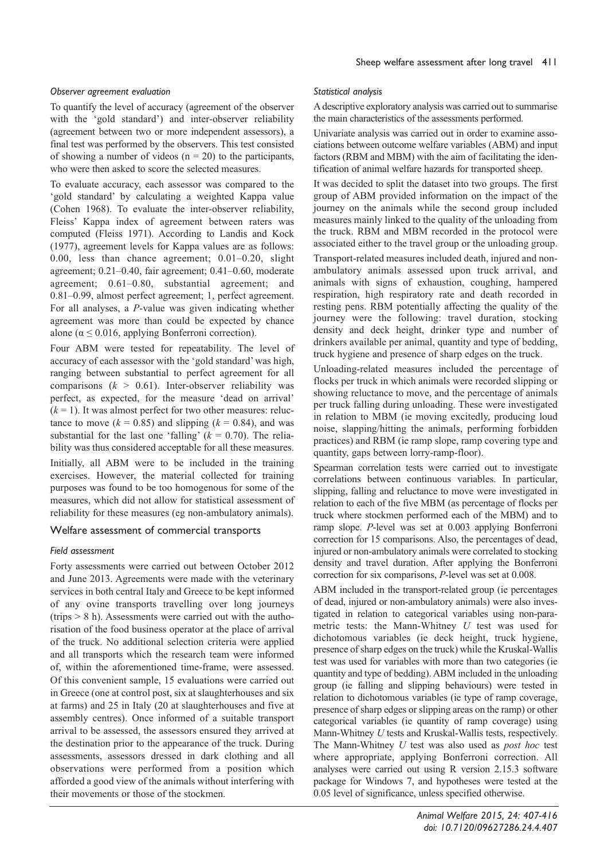### *Observer agreement evaluation*

To quantify the level of accuracy (agreement of the observer with the 'gold standard') and inter-observer reliability (agreement between two or more independent assessors), a final test was performed by the observers. This test consisted of showing a number of videos  $(n = 20)$  to the participants, who were then asked to score the selected measures.

To evaluate accuracy, each assessor was compared to the 'gold standard' by calculating a weighted Kappa value (Cohen 1968). To evaluate the inter-observer reliability, Fleiss' Kappa index of agreement between raters was computed (Fleiss 1971). According to Landis and Kock (1977), agreement levels for Kappa values are as follows: 0.00, less than chance agreement; 0.01–0.20, slight agreement; 0.21–0.40, fair agreement; 0.41–0.60, moderate agreement; 0.61–0.80, substantial agreement; and 0.81–0.99, almost perfect agreement; 1, perfect agreement. For all analyses, a *P*-value was given indicating whether agreement was more than could be expected by chance alone ( $\alpha \le 0.016$ , applying Bonferroni correction).

Four ABM were tested for repeatability. The level of accuracy of each assessor with the 'gold standard' was high, ranging between substantial to perfect agreement for all comparisons  $(k > 0.61)$ . Inter-observer reliability was perfect, as expected, for the measure 'dead on arrival'  $(k = 1)$ . It was almost perfect for two other measures: reluctance to move  $(k = 0.85)$  and slipping  $(k = 0.84)$ , and was substantial for the last one 'falling'  $(k = 0.70)$ . The reliability was thus considered acceptable for all these measures. Initially, all ABM were to be included in the training exercises. However, the material collected for training purposes was found to be too homogenous for some of the measures, which did not allow for statistical assessment of reliability for these measures (eg non-ambulatory animals).

### Welfare assessment of commercial transports

# *Field assessment*

Forty assessments were carried out between October 2012 and June 2013. Agreements were made with the veterinary services in both central Italy and Greece to be kept informed of any ovine transports travelling over long journeys (trips > 8 h). Assessments were carried out with the authorisation of the food business operator at the place of arrival of the truck. No additional selection criteria were applied and all transports which the research team were informed of, within the aforementioned time-frame, were assessed. Of this convenient sample, 15 evaluations were carried out in Greece (one at control post, six at slaughterhouses and six at farms) and 25 in Italy (20 at slaughterhouses and five at assembly centres). Once informed of a suitable transport arrival to be assessed, the assessors ensured they arrived at the destination prior to the appearance of the truck. During assessments, assessors dressed in dark clothing and all observations were performed from a position which afforded a good view of the animals without interfering with their movements or those of the stockmen.

## *Statistical analysis*

Adescriptive exploratory analysis was carried out to summarise the main characteristics of the assessments performed.

Univariate analysis was carried out in order to examine associations between outcome welfare variables (ABM) and input factors (RBM and MBM) with the aim of facilitating the identification of animal welfare hazards for transported sheep.

It was decided to split the dataset into two groups. The first group of ABM provided information on the impact of the journey on the animals while the second group included measures mainly linked to the quality of the unloading from the truck. RBM and MBM recorded in the protocol were associated either to the travel group or the unloading group.

Transport-related measures included death, injured and nonambulatory animals assessed upon truck arrival, and animals with signs of exhaustion, coughing, hampered respiration, high respiratory rate and death recorded in resting pens. RBM potentially affecting the quality of the journey were the following: travel duration, stocking density and deck height, drinker type and number of drinkers available per animal, quantity and type of bedding, truck hygiene and presence of sharp edges on the truck.

Unloading-related measures included the percentage of flocks per truck in which animals were recorded slipping or showing reluctance to move, and the percentage of animals per truck falling during unloading. These were investigated in relation to MBM (ie moving excitedly, producing loud noise, slapping/hitting the animals, performing forbidden practices) and RBM (ie ramp slope, ramp covering type and quantity, gaps between lorry-ramp-floor).

Spearman correlation tests were carried out to investigate correlations between continuous variables. In particular, slipping, falling and reluctance to move were investigated in relation to each of the five MBM (as percentage of flocks per truck where stockmen performed each of the MBM) and to ramp slope. *P*-level was set at 0.003 applying Bonferroni correction for 15 comparisons. Also, the percentages of dead, injured or non-ambulatory animals were correlated to stocking density and travel duration. After applying the Bonferroni correction for six comparisons, *P*-level was set at 0.008.

ABM included in the transport-related group (ie percentages of dead, injured or non-ambulatory animals) were also investigated in relation to categorical variables using non-parametric tests: the Mann-Whitney *U* test was used for dichotomous variables (ie deck height, truck hygiene, presence of sharp edges on the truck) while the Kruskal-Wallis test was used for variables with more than two categories (ie quantity and type of bedding).ABM included in the unloading group (ie falling and slipping behaviours) were tested in relation to dichotomous variables (ie type of ramp coverage, presence of sharp edges or slipping areas on the ramp) or other categorical variables (ie quantity of ramp coverage) using Mann-Whitney *U* tests and Kruskal-Wallis tests, respectively. The Mann-Whitney *U* test was also used as *post hoc* test where appropriate, applying Bonferroni correction. All analyses were carried out using R version 2.15.3 software package for Windows 7, and hypotheses were tested at the 0.05 level of significance, unless specified otherwise.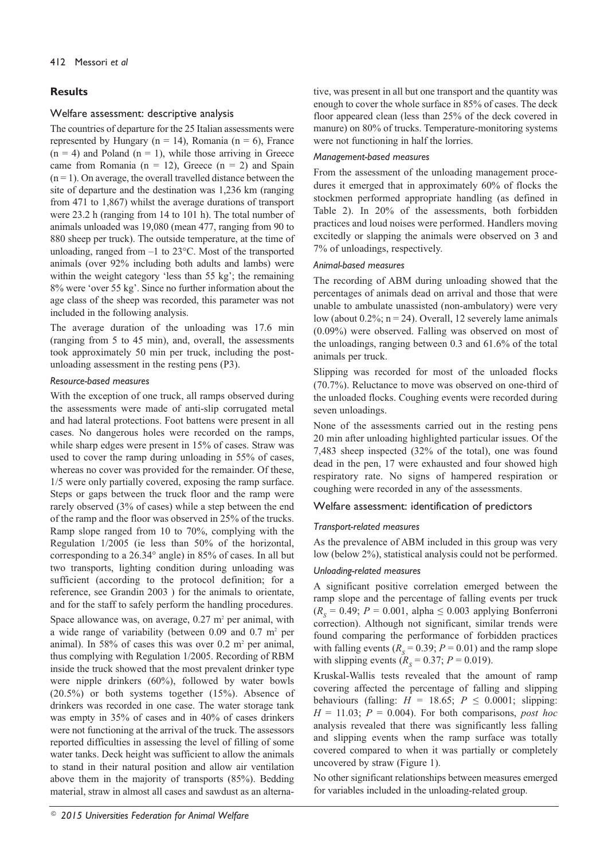# **Results**

# Welfare assessment: descriptive analysis

The countries of departure for the 25 Italian assessments were represented by Hungary ( $n = 14$ ), Romania ( $n = 6$ ), France  $(n = 4)$  and Poland  $(n = 1)$ , while those arriving in Greece came from Romania ( $n = 12$ ), Greece ( $n = 2$ ) and Spain  $(n = 1)$ . On average, the overall travelled distance between the site of departure and the destination was 1,236 km (ranging from 471 to 1,867) whilst the average durations of transport were 23.2 h (ranging from 14 to 101 h). The total number of animals unloaded was 19,080 (mean 477, ranging from 90 to 880 sheep per truck). The outside temperature, at the time of unloading, ranged from –1 to 23°C. Most of the transported animals (over 92% including both adults and lambs) were within the weight category 'less than 55 kg'; the remaining 8% were 'over 55 kg'. Since no further information about the age class of the sheep was recorded, this parameter was not included in the following analysis.

The average duration of the unloading was 17.6 min (ranging from 5 to 45 min), and, overall, the assessments took approximately 50 min per truck, including the postunloading assessment in the resting pens (P3).

# *Resource-based measures*

With the exception of one truck, all ramps observed during the assessments were made of anti-slip corrugated metal and had lateral protections. Foot battens were present in all cases. No dangerous holes were recorded on the ramps, while sharp edges were present in 15% of cases. Straw was used to cover the ramp during unloading in 55% of cases, whereas no cover was provided for the remainder. Of these, 1/5 were only partially covered, exposing the ramp surface. Steps or gaps between the truck floor and the ramp were rarely observed (3% of cases) while a step between the end of the ramp and the floor was observed in 25% of the trucks. Ramp slope ranged from 10 to 70%, complying with the Regulation 1/2005 (ie less than 50% of the horizontal, corresponding to a 26.34° angle) in 85% of cases. In all but two transports, lighting condition during unloading was sufficient (according to the protocol definition; for a reference, see Grandin 2003 ) for the animals to orientate, and for the staff to safely perform the handling procedures.

Space allowance was, on average,  $0.27$  m<sup>2</sup> per animal, with a wide range of variability (between 0.09 and  $0.7 \text{ m}^2$  per animal). In 58% of cases this was over  $0.2$  m<sup>2</sup> per animal, thus complying with Regulation 1/2005. Recording of RBM inside the truck showed that the most prevalent drinker type were nipple drinkers (60%), followed by water bowls (20.5%) or both systems together (15%). Absence of drinkers was recorded in one case. The water storage tank was empty in 35% of cases and in 40% of cases drinkers were not functioning at the arrival of the truck. The assessors reported difficulties in assessing the level of filling of some water tanks. Deck height was sufficient to allow the animals to stand in their natural position and allow air ventilation above them in the majority of transports (85%). Bedding material, straw in almost all cases and sawdust as an alternative, was present in all but one transport and the quantity was enough to cover the whole surface in 85% of cases. The deck floor appeared clean (less than 25% of the deck covered in manure) on 80% of trucks. Temperature-monitoring systems were not functioning in half the lorries.

## *Management-based measures*

From the assessment of the unloading management procedures it emerged that in approximately 60% of flocks the stockmen performed appropriate handling (as defined in Table 2). In 20% of the assessments, both forbidden practices and loud noises were performed. Handlers moving excitedly or slapping the animals were observed on 3 and 7% of unloadings, respectively.

## *Animal-based measures*

The recording of ABM during unloading showed that the percentages of animals dead on arrival and those that were unable to ambulate unassisted (non-ambulatory) were very low (about  $0.2\%$ ; n = 24). Overall, 12 severely lame animals (0.09%) were observed. Falling was observed on most of the unloadings, ranging between 0.3 and 61.6% of the total animals per truck.

Slipping was recorded for most of the unloaded flocks (70.7%). Reluctance to move was observed on one-third of the unloaded flocks. Coughing events were recorded during seven unloadings.

None of the assessments carried out in the resting pens 20 min after unloading highlighted particular issues. Of the 7,483 sheep inspected (32% of the total), one was found dead in the pen, 17 were exhausted and four showed high respiratory rate. No signs of hampered respiration or coughing were recorded in any of the assessments.

# Welfare assessment: identification of predictors

# *Transport-related measures*

As the prevalence of ABM included in this group was very low (below 2%), statistical analysis could not be performed.

# *Unloading-related measures*

A significant positive correlation emerged between the ramp slope and the percentage of falling events per truck  $(R<sub>s</sub> = 0.49; P = 0.001, alpha \le 0.003 applying Bonferroni$ correction). Although not significant, similar trends were found comparing the performance of forbidden practices with falling events  $(R_s = 0.39; P = 0.01)$  and the ramp slope with slipping events  $(R_{\rm s} = 0.37; P = 0.019)$ .

Kruskal-Wallis tests revealed that the amount of ramp covering affected the percentage of falling and slipping behaviours (falling:  $H = 18.65$ ;  $P \le 0.0001$ ; slipping:  $H = 11.03$ ;  $P = 0.004$ ). For both comparisons, *post hoc* analysis revealed that there was significantly less falling and slipping events when the ramp surface was totally covered compared to when it was partially or completely uncovered by straw (Figure 1).

No other significant relationships between measures emerged for variables included in the unloading-related group.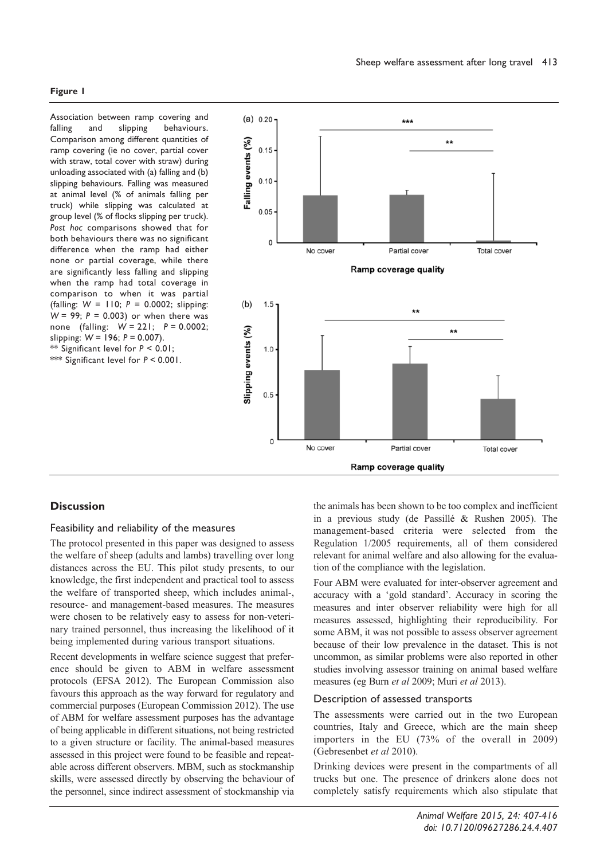#### **Figure 1**

Association between ramp covering and falling and slipping behaviours. Comparison among different quantities of ramp covering (ie no cover, partial cover with straw, total cover with straw) during unloading associated with (a) falling and (b) slipping behaviours. Falling was measured at animal level (% of animals falling per truck) while slipping was calculated at group level (% of flocks slipping per truck). *Post hoc* comparisons showed that for both behaviours there was no significant difference when the ramp had either none or partial coverage, while there are significantly less falling and slipping when the ramp had total coverage in comparison to when it was partial (falling: *W* = 110; *P* = 0.0002; slipping: *W* = 99; *P* = 0.003) or when there was none (falling: *W* = 221; *P* = 0.0002; slipping: *W* = 196; *P* = 0.007). \*\* Significant level for *P* < 0.01; \*\*\* Significant level for *P* < 0.001.



## **Discussion**

#### Feasibility and reliability of the measures

The protocol presented in this paper was designed to assess the welfare of sheep (adults and lambs) travelling over long distances across the EU. This pilot study presents, to our knowledge, the first independent and practical tool to assess the welfare of transported sheep, which includes animal-, resource- and management-based measures. The measures were chosen to be relatively easy to assess for non-veterinary trained personnel, thus increasing the likelihood of it being implemented during various transport situations.

Recent developments in welfare science suggest that preference should be given to ABM in welfare assessment protocols (EFSA 2012). The European Commission also favours this approach as the way forward for regulatory and commercial purposes (European Commission 2012). The use of ABM for welfare assessment purposes has the advantage of being applicable in different situations, not being restricted to a given structure or facility. The animal-based measures assessed in this project were found to be feasible and repeatable across different observers. MBM, such as stockmanship skills, were assessed directly by observing the behaviour of the personnel, since indirect assessment of stockmanship via

the animals has been shown to be too complex and inefficient in a previous study (de Passillé & Rushen 2005). The management-based criteria were selected from the Regulation 1/2005 requirements, all of them considered relevant for animal welfare and also allowing for the evaluation of the compliance with the legislation.

Four ABM were evaluated for inter-observer agreement and accuracy with a 'gold standard'. Accuracy in scoring the measures and inter observer reliability were high for all measures assessed, highlighting their reproducibility. For some ABM, it was not possible to assess observer agreement because of their low prevalence in the dataset. This is not uncommon, as similar problems were also reported in other studies involving assessor training on animal based welfare measures (eg Burn *et al* 2009; Muri *et al* 2013).

#### Description of assessed transports

The assessments were carried out in the two European countries, Italy and Greece, which are the main sheep importers in the EU (73% of the overall in 2009) (Gebresenbet *et al* 2010).

Drinking devices were present in the compartments of all trucks but one. The presence of drinkers alone does not completely satisfy requirements which also stipulate that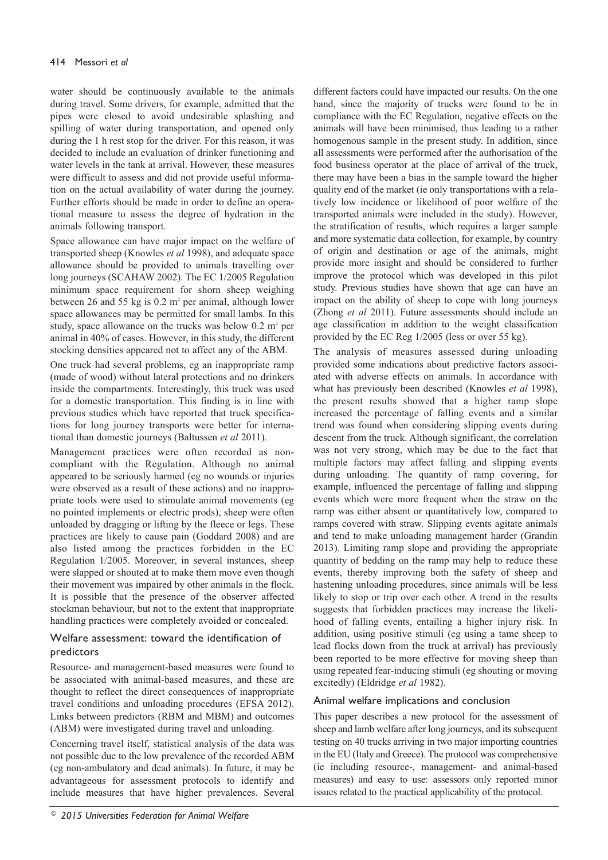water should be continuously available to the animals during travel. Some drivers, for example, admitted that the pipes were closed to avoid undesirable splashing and spilling of water during transportation, and opened only during the 1 h rest stop for the driver. For this reason, it was decided to include an evaluation of drinker functioning and water levels in the tank at arrival. However, these measures were difficult to assess and did not provide useful information on the actual availability of water during the journey. Further efforts should be made in order to define an operational measure to assess the degree of hydration in the animals following transport.

Space allowance can have major impact on the welfare of transported sheep (Knowles *et al* 1998), and adequate space allowance should be provided to animals travelling over long journeys (SCAHAW 2002). The EC 1/2005 Regulation minimum space requirement for shorn sheep weighing between 26 and 55 kg is  $0.2$  m<sup>2</sup> per animal, although lower space allowances may be permitted for small lambs. In this study, space allowance on the trucks was below  $0.2 \text{ m}^2$  per animal in 40% of cases. However, in this study, the different stocking densities appeared not to affect any of the ABM.

One truck had several problems, eg an inappropriate ramp (made of wood) without lateral protections and no drinkers inside the compartments. Interestingly, this truck was used for a domestic transportation. This finding is in line with previous studies which have reported that truck specifications for long journey transports were better for international than domestic journeys (Baltussen *et al* 2011).

Management practices were often recorded as noncompliant with the Regulation. Although no animal appeared to be seriously harmed (eg no wounds or injuries were observed as a result of these actions) and no inappropriate tools were used to stimulate animal movements (eg no pointed implements or electric prods), sheep were often unloaded by dragging or lifting by the fleece or legs. These practices are likely to cause pain (Goddard 2008) and are also listed among the practices forbidden in the EC Regulation 1/2005. Moreover, in several instances, sheep were slapped or shouted at to make them move even though their movement was impaired by other animals in the flock. It is possible that the presence of the observer affected stockman behaviour, but not to the extent that inappropriate handling practices were completely avoided or concealed.

# Welfare assessment: toward the identification of predictors

Resource- and management-based measures were found to be associated with animal-based measures, and these are thought to reflect the direct consequences of inappropriate travel conditions and unloading procedures (EFSA 2012). Links between predictors (RBM and MBM) and outcomes (ABM) were investigated during travel and unloading.

Concerning travel itself, statistical analysis of the data was not possible due to the low prevalence of the recorded ABM (eg non-ambulatory and dead animals). In future, it may be advantageous for assessment protocols to identify and include measures that have higher prevalences. Several

different factors could have impacted our results. On the one hand, since the majority of trucks were found to be in compliance with the EC Regulation, negative effects on the animals will have been minimised, thus leading to a rather homogenous sample in the present study. In addition, since all assessments were performed after the authorisation of the food business operator at the place of arrival of the truck, there may have been a bias in the sample toward the higher quality end of the market (ie only transportations with a relatively low incidence or likelihood of poor welfare of the transported animals were included in the study). However, the stratification of results, which requires a larger sample and more systematic data collection, for example, by country of origin and destination or age of the animals, might provide more insight and should be considered to further improve the protocol which was developed in this pilot study. Previous studies have shown that age can have an impact on the ability of sheep to cope with long journeys (Zhong *et al* 2011). Future assessments should include an age classification in addition to the weight classification provided by the EC Reg 1/2005 (less or over 55 kg).

The analysis of measures assessed during unloading provided some indications about predictive factors associated with adverse effects on animals. In accordance with what has previously been described (Knowles *et al* 1998), the present results showed that a higher ramp slope increased the percentage of falling events and a similar trend was found when considering slipping events during descent from the truck. Although significant, the correlation was not very strong, which may be due to the fact that multiple factors may affect falling and slipping events during unloading. The quantity of ramp covering, for example, influenced the percentage of falling and slipping events which were more frequent when the straw on the ramp was either absent or quantitatively low, compared to ramps covered with straw. Slipping events agitate animals and tend to make unloading management harder (Grandin 2013). Limiting ramp slope and providing the appropriate quantity of bedding on the ramp may help to reduce these events, thereby improving both the safety of sheep and hastening unloading procedures, since animals will be less likely to stop or trip over each other. A trend in the results suggests that forbidden practices may increase the likelihood of falling events, entailing a higher injury risk. In addition, using positive stimuli (eg using a tame sheep to lead flocks down from the truck at arrival) has previously been reported to be more effective for moving sheep than using repeated fear-inducing stimuli (eg shouting or moving excitedly) (Eldridge *et al* 1982).

### Animal welfare implications and conclusion

This paper describes a new protocol for the assessment of sheep and lamb welfare after long journeys, and its subsequent testing on 40 trucks arriving in two major importing countries in the EU (Italy and Greece). The protocol was comprehensive (ie including resource-, management- and animal-based measures) and easy to use: assessors only reported minor issues related to the practical applicability of the protocol.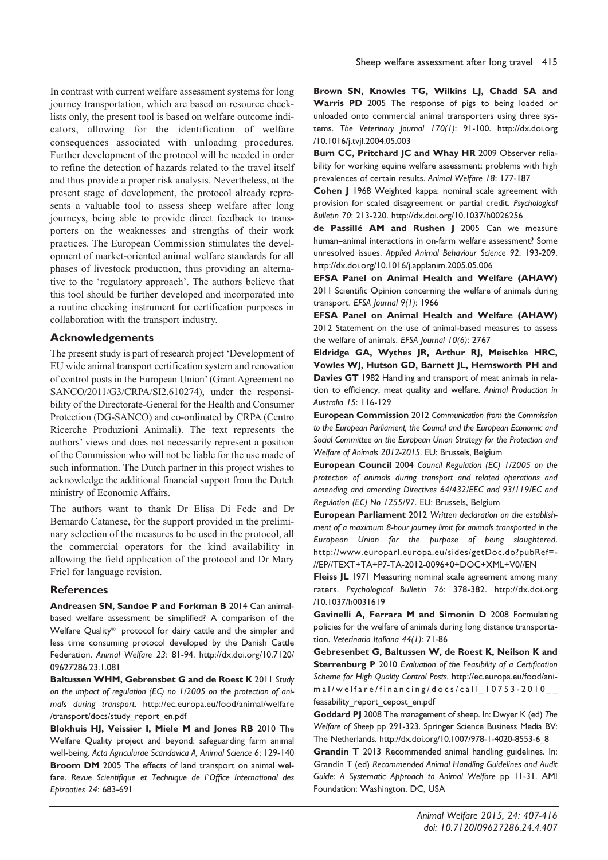In contrast with current welfare assessment systems for long journey transportation, which are based on resource checklists only, the present tool is based on welfare outcome indicators, allowing for the identification of welfare consequences associated with unloading procedures. Further development of the protocol will be needed in order to refine the detection of hazards related to the travel itself and thus provide a proper risk analysis. Nevertheless, at the present stage of development, the protocol already represents a valuable tool to assess sheep welfare after long journeys, being able to provide direct feedback to transporters on the weaknesses and strengths of their work practices. The European Commission stimulates the development of market-oriented animal welfare standards for all phases of livestock production, thus providing an alternative to the 'regulatory approach'. The authors believe that this tool should be further developed and incorporated into a routine checking instrument for certification purposes in collaboration with the transport industry.

### **Acknowledgements**

The present study is part of research project 'Development of EU wide animal transport certification system and renovation of control posts in the European Union'(Grant Agreement no SANCO/2011/G3/CRPA/SI2.610274), under the responsibility of the Directorate-General for the Health and Consumer Protection (DG-SANCO) and co-ordinated by CRPA (Centro Ricerche Produzioni Animali). The text represents the authors' views and does not necessarily represent a position of the Commission who will not be liable for the use made of such information. The Dutch partner in this project wishes to acknowledge the additional financial support from the Dutch ministry of Economic Affairs.

The authors want to thank Dr Elisa Di Fede and Dr Bernardo Catanese, for the support provided in the preliminary selection of the measures to be used in the protocol, all the commercial operators for the kind availability in allowing the field application of the protocol and Dr Mary Friel for language revision.

#### **References**

**Andreasen SN, Sandøe P and Forkman B** 2014 Can animalbased welfare assessment be simplified? A comparison of the Welfare Quality® protocol for dairy cattle and the simpler and less time consuming protocol developed by the Danish Cattle Federation. *Animal Welfare 23*: 81-94. http://dx.doi.org/10.7120/ 09627286.23.1.081

**Baltussen WHM, Gebrensbet G and de Roest K** 2011 *Study on the impact of regulation (EC) no 1/2005 on the protection of animals during transport.* http://ec.europa.eu/food/animal/welfare /transport/docs/study\_report\_en.pdf

**Blokhuis HJ, Veissier I, Miele M and Jones RB** 2010 The Welfare Quality project and beyond: safeguarding farm animal well-being. *Acta Agriculurae Scandavica A, Animal Science 6*: 129-140 **Broom DM** 2005 The effects of land transport on animal welfare. *Revue Scientifique et Technique de l`Office International des Epizooties 24*: 683-691

**Brown SN, Knowles TG, Wilkins LJ, Chadd SA and Warris PD** 2005 The response of pigs to being loaded or unloaded onto commercial animal transporters using three systems. *The Veterinary Journal 170(1)*: 91-100. http://dx.doi.org /10.1016/j.tvjl.2004.05.003

**Burn CC, Pritchard JC and Whay HR** 2009 Observer reliability for working equine welfare assessment: problems with high prevalences of certain results. *Animal Welfare 18*: 177-187

**Cohen J** 1968 Weighted kappa: nominal scale agreement with provision for scaled disagreement or partial credit. *Psychological Bulletin 70*: 213-220. http://dx.doi.org/10.1037/h0026256

**de Passillé AM and Rushen J** 2005 Can we measure human–animal interactions in on-farm welfare assessment? Some unresolved issues. *Applied Animal Behaviour Science 92*: 193-209. http://dx.doi.org/10.1016/j.applanim.2005.05.006

**EFSA Panel on Animal Health and Welfare (AHAW)** 2011 Scientific Opinion concerning the welfare of animals during transport. *EFSA Journal 9(1)*: 1966

**EFSA Panel on Animal Health and Welfare (AHAW)** 2012 Statement on the use of animal-based measures to assess the welfare of animals. *EFSA Journal 10(6)*: 2767

**Eldridge GA, Wythes JR, Arthur RJ, Meischke HRC, Vowles WJ, Hutson GD, Barnett JL, Hemsworth PH and Davies GT** 1982 Handling and transport of meat animals in relation to efficiency, meat quality and welfare. *Animal Production in Australia 15*: 116-129

**European Commission** 2012 *Communication from the Commission to the European Parliament, the Council and the European Economic and Social Committee on the European Union Strategy for the Protection and Welfare of Animals 2012-2015*. EU: Brussels, Belgium

**European Council** 2004 *Council Regulation (EC) 1/2005 on the protection of animals during transport and related operations and amending and amending Directives 64/432/EEC and 93/119/EC and Regulation (EC) No 1255/97*. EU: Brussels, Belgium

**European Parliament** 2012 *Written declaration on the establishment of a maximum 8-hour journey limit for animals transported in the European Union for the purpose of being slaughtered*. http://www.europarl.europa.eu/sides/getDoc.do?pubRef=- //EP//TEXT+TA+P7-TA-2012-0096+0+DOC+XML+V0//EN

**Fleiss JL** 1971 Measuring nominal scale agreement among many raters. *Psychological Bulletin 76*: 378-382. http://dx.doi.org /10.1037/h0031619

**Gavinelli A, Ferrara M and Simonin D** 2008 Formulating policies for the welfare of animals during long distance transportation. *Veterinaria Italiana 44(1)*: 71-86

**Gebresenbet G, Baltussen W, de Roest K, Neilson K and Sterrenburg P** 2010 *Evaluation of the Feasibility of a Certification Scheme for High Quality Control Posts.* http://ec.europa.eu/food/ani $m$  al/welfare/financing/docs/call  $10753 - 2010$ feasability\_report\_cepost\_en.pdf

**Goddard PJ** 2008 The management of sheep. In: Dwyer K (ed) *The Welfare of Sheep* pp 291-323. Springer Science Business Media BV: The Netherlands. http://dx.doi.org/10.1007/978-1-4020-8553-6\_8 **Grandin T** 2013 Recommended animal handling guidelines. In: Grandin T (ed) *Recommended Animal Handling Guidelines and Audit Guide: A Systematic Approach to Animal Welfare* pp 11-31. AMI Foundation: Washington, DC, USA